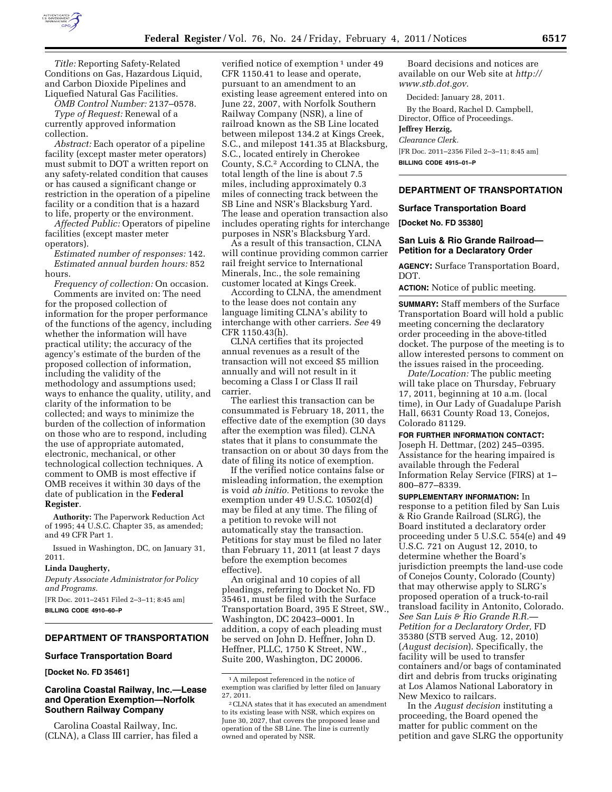

*Title:* Reporting Safety-Related Conditions on Gas, Hazardous Liquid, and Carbon Dioxide Pipelines and Liquefied Natural Gas Facilities.

*OMB Control Number:* 2137–0578. *Type of Request:* Renewal of a

currently approved information collection.

*Abstract:* Each operator of a pipeline facility (except master meter operators) must submit to DOT a written report on any safety-related condition that causes or has caused a significant change or restriction in the operation of a pipeline facility or a condition that is a hazard to life, property or the environment.

*Affected Public:* Operators of pipeline facilities (except master meter operators).

*Estimated number of responses:* 142. *Estimated annual burden hours:* 852 hours.

*Frequency of collection:* On occasion. Comments are invited on: The need for the proposed collection of information for the proper performance of the functions of the agency, including whether the information will have practical utility; the accuracy of the agency's estimate of the burden of the proposed collection of information, including the validity of the methodology and assumptions used; ways to enhance the quality, utility, and clarity of the information to be collected; and ways to minimize the burden of the collection of information on those who are to respond, including the use of appropriate automated, electronic, mechanical, or other technological collection techniques. A comment to OMB is most effective if OMB receives it within 30 days of the date of publication in the **Federal Register**.

**Authority:** The Paperwork Reduction Act of 1995; 44 U.S.C. Chapter 35, as amended; and 49 CFR Part 1.

Issued in Washington, DC, on January 31, 2011.

### **Linda Daugherty,**

*Deputy Associate Administrator for Policy and Programs.* 

[FR Doc. 2011–2451 Filed 2–3–11; 8:45 am] **BILLING CODE 4910–60–P** 

# **DEPARTMENT OF TRANSPORTATION**

#### **Surface Transportation Board**

**[Docket No. FD 35461]** 

## **Carolina Coastal Railway, Inc.—Lease and Operation Exemption—Norfolk Southern Railway Company**

Carolina Coastal Railway, Inc. (CLNA), a Class III carrier, has filed a

verified notice of exemption<sup>1</sup> under 49 CFR 1150.41 to lease and operate, pursuant to an amendment to an existing lease agreement entered into on June 22, 2007, with Norfolk Southern Railway Company (NSR), a line of railroad known as the SB Line located between milepost 134.2 at Kings Creek, S.C., and milepost 141.35 at Blacksburg, S.C., located entirely in Cherokee County, S.C.2 According to CLNA, the total length of the line is about 7.5 miles, including approximately 0.3 miles of connecting track between the SB Line and NSR's Blacksburg Yard. The lease and operation transaction also includes operating rights for interchange purposes in NSR's Blacksburg Yard.

As a result of this transaction, CLNA will continue providing common carrier rail freight service to International Minerals, Inc., the sole remaining customer located at Kings Creek.

According to CLNA, the amendment to the lease does not contain any language limiting CLNA's ability to interchange with other carriers. *See* 49 CFR 1150.43(h).

CLNA certifies that its projected annual revenues as a result of the transaction will not exceed \$5 million annually and will not result in it becoming a Class I or Class II rail carrier.

The earliest this transaction can be consummated is February 18, 2011, the effective date of the exemption (30 days after the exemption was filed). CLNA states that it plans to consummate the transaction on or about 30 days from the date of filing its notice of exemption.

If the verified notice contains false or misleading information, the exemption is void *ab initio.* Petitions to revoke the exemption under 49 U.S.C. 10502(d) may be filed at any time. The filing of a petition to revoke will not automatically stay the transaction. Petitions for stay must be filed no later than February 11, 2011 (at least 7 days before the exemption becomes effective).

An original and 10 copies of all pleadings, referring to Docket No. FD 35461, must be filed with the Surface Transportation Board, 395 E Street, SW., Washington, DC 20423–0001. In addition, a copy of each pleading must be served on John D. Heffner, John D. Heffner, PLLC, 1750 K Street, NW., Suite 200, Washington, DC 20006.

Board decisions and notices are available on our Web site at *[http://](http://www.stb.dot.gov) [www.stb.dot.gov.](http://www.stb.dot.gov)* 

Decided: January 28, 2011.

By the Board, Rachel D. Campbell, Director, Office of Proceedings.

# **Jeffrey Herzig,**

*Clearance Clerk.*  [FR Doc. 2011–2356 Filed 2–3–11; 8:45 am] **BILLING CODE 4915–01–P** 

### **DEPARTMENT OF TRANSPORTATION**

### **Surface Transportation Board**

**[Docket No. FD 35380]** 

## **San Luis & Rio Grande Railroad— Petition for a Declaratory Order**

**AGENCY:** Surface Transportation Board, DOT.

**ACTION:** Notice of public meeting.

**SUMMARY:** Staff members of the Surface Transportation Board will hold a public meeting concerning the declaratory order proceeding in the above-titled docket. The purpose of the meeting is to allow interested persons to comment on the issues raised in the proceeding.

*Date/Location:* The public meeting will take place on Thursday, February 17, 2011, beginning at 10 a.m. (local time), in Our Lady of Guadalupe Parish Hall, 6631 County Road 13, Conejos, Colorado 81129.

**FOR FURTHER INFORMATION CONTACT:** 

Joseph H. Dettmar, (202) 245–0395. Assistance for the hearing impaired is available through the Federal Information Relay Service (FIRS) at 1– 800–877–8339.

**SUPPLEMENTARY INFORMATION:** In response to a petition filed by San Luis & Rio Grande Railroad (SLRG), the Board instituted a declaratory order proceeding under 5 U.S.C. 554(e) and 49 U.S.C. 721 on August 12, 2010, to determine whether the Board's jurisdiction preempts the land-use code of Conejos County, Colorado (County) that may otherwise apply to SLRG's proposed operation of a truck-to-rail transload facility in Antonito, Colorado. *See San Luis & Rio Grande R.R.— Petition for a Declaratory Order,* FD 35380 (STB served Aug. 12, 2010) (*August decision*). Specifically, the facility will be used to transfer containers and/or bags of contaminated dirt and debris from trucks originating at Los Alamos National Laboratory in New Mexico to railcars.

In the *August decision* instituting a proceeding, the Board opened the matter for public comment on the petition and gave SLRG the opportunity

<sup>1</sup>A milepost referenced in the notice of exemption was clarified by letter filed on January 27, 2011.

<sup>2</sup>CLNA states that it has executed an amendment to its existing lease with NSR, which expires on June 30, 2027, that covers the proposed lease and operation of the SB Line. The line is currently owned and operated by NSR.